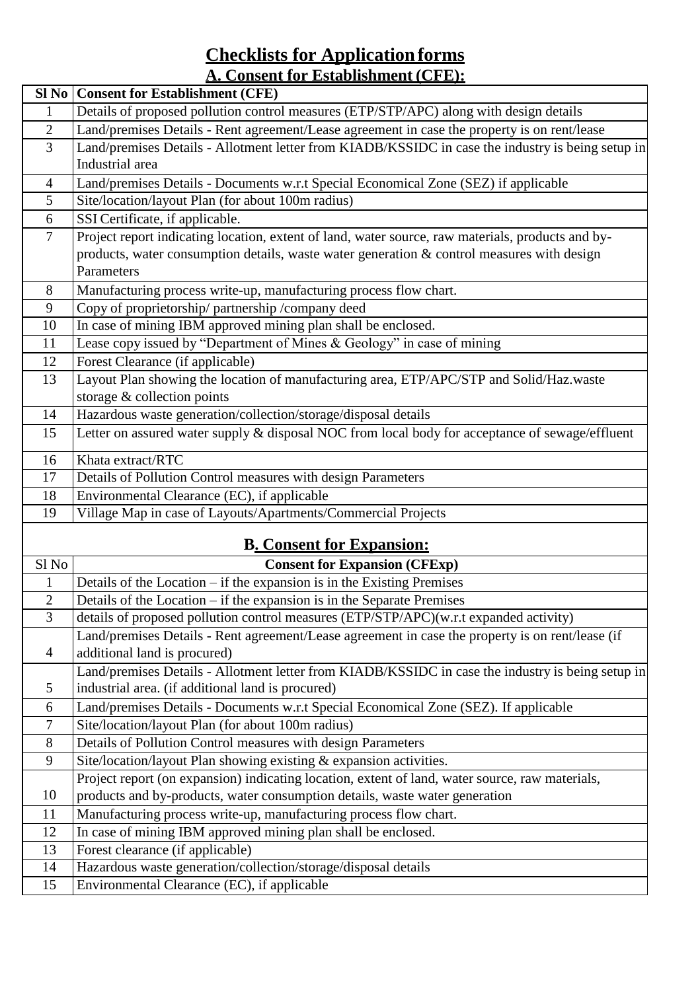## **Checklists for Application forms A. Consent for Establishment (CFE):**

| $SI$ No        | <b>Consent for Establishment (CFE)</b>                                                                                                                                         |
|----------------|--------------------------------------------------------------------------------------------------------------------------------------------------------------------------------|
| $\mathbf{1}$   | Details of proposed pollution control measures (ETP/STP/APC) along with design details                                                                                         |
| $\overline{2}$ | Land/premises Details - Rent agreement/Lease agreement in case the property is on rent/lease                                                                                   |
| $\overline{3}$ | Land/premises Details - Allotment letter from KIADB/KSSIDC in case the industry is being setup in                                                                              |
|                | Industrial area                                                                                                                                                                |
| $\overline{4}$ | Land/premises Details - Documents w.r.t Special Economical Zone (SEZ) if applicable                                                                                            |
| 5              | Site/location/layout Plan (for about 100m radius)                                                                                                                              |
| 6              | SSI Certificate, if applicable.                                                                                                                                                |
| $\overline{7}$ | Project report indicating location, extent of land, water source, raw materials, products and by-                                                                              |
|                | products, water consumption details, waste water generation & control measures with design                                                                                     |
|                | Parameters                                                                                                                                                                     |
| 8              | Manufacturing process write-up, manufacturing process flow chart.                                                                                                              |
| 9              | Copy of proprietorship/partnership/company deed                                                                                                                                |
| 10             | In case of mining IBM approved mining plan shall be enclosed.                                                                                                                  |
| 11             | Lease copy issued by "Department of Mines & Geology" in case of mining                                                                                                         |
| 12             | Forest Clearance (if applicable)                                                                                                                                               |
| 13             | Layout Plan showing the location of manufacturing area, ETP/APC/STP and Solid/Haz.waste                                                                                        |
|                | storage & collection points                                                                                                                                                    |
| 14             | Hazardous waste generation/collection/storage/disposal details                                                                                                                 |
| 15             | Letter on assured water supply & disposal NOC from local body for acceptance of sewage/effluent                                                                                |
| 16             | Khata extract/RTC                                                                                                                                                              |
| 17             | Details of Pollution Control measures with design Parameters                                                                                                                   |
| 18             | Environmental Clearance (EC), if applicable                                                                                                                                    |
| 19             | Village Map in case of Layouts/Apartments/Commercial Projects                                                                                                                  |
|                | <b>B. Consent for Expansion:</b>                                                                                                                                               |
| Sl No          | <b>Consent for Expansion (CFExp)</b>                                                                                                                                           |
| $\mathbf{1}$   | Details of the Location $-$ if the expansion is in the Existing Premises                                                                                                       |
| $\overline{2}$ | Details of the Location – if the expansion is in the Separate Premises                                                                                                         |
| 3              | details of proposed pollution control measures (ETP/STP/APC)(w.r.t expanded activity)                                                                                          |
|                | Land/premises Details - Rent agreement/Lease agreement in case the property is on rent/lease (if                                                                               |
| $\overline{4}$ | additional land is procured)                                                                                                                                                   |
|                | Land/premises Details - Allotment letter from KIADB/KSSIDC in case the industry is being setup in                                                                              |
| 5              | industrial area. (if additional land is procured)                                                                                                                              |
| 6              | Land/premises Details - Documents w.r.t Special Economical Zone (SEZ). If applicable                                                                                           |
| $\tau$         | Site/location/layout Plan (for about 100m radius)                                                                                                                              |
| $8\,$<br>9     | Details of Pollution Control measures with design Parameters                                                                                                                   |
|                | Site/location/layout Plan showing existing & expansion activities.                                                                                                             |
| 10             | Project report (on expansion) indicating location, extent of land, water source, raw materials,<br>products and by-products, water consumption details, waste water generation |
| 11             | Manufacturing process write-up, manufacturing process flow chart.                                                                                                              |
| 12             | In case of mining IBM approved mining plan shall be enclosed.                                                                                                                  |
| 13             | Forest clearance (if applicable)                                                                                                                                               |
| 14             | Hazardous waste generation/collection/storage/disposal details                                                                                                                 |
| 15             | Environmental Clearance (EC), if applicable                                                                                                                                    |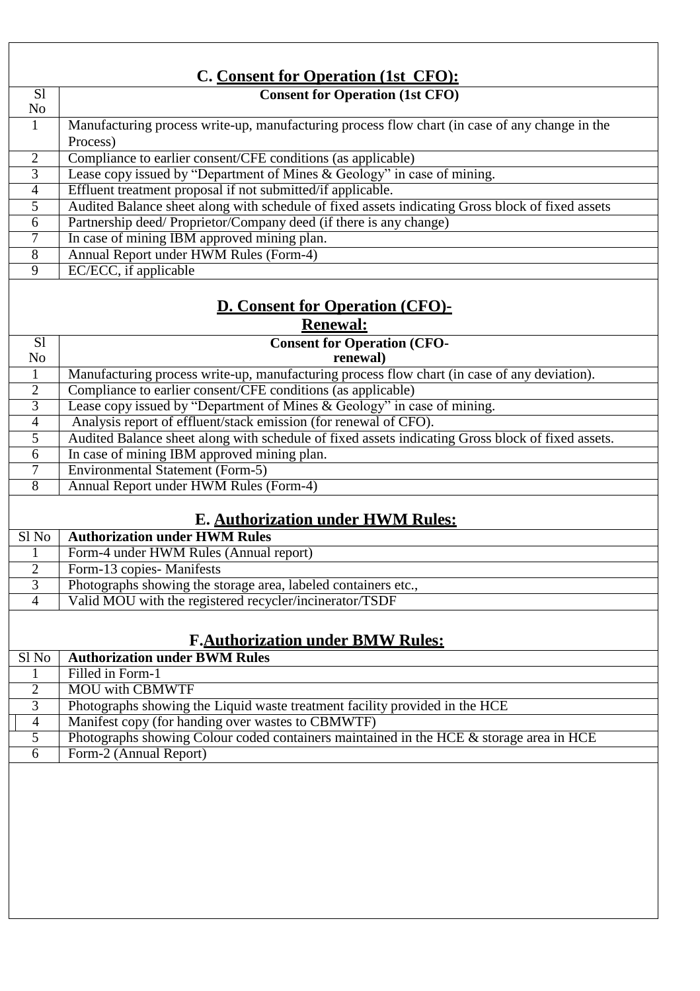| C. Consent for Operation (1st CFO):    |                                                                                                                                        |  |
|----------------------------------------|----------------------------------------------------------------------------------------------------------------------------------------|--|
| S <sub>1</sub><br>No                   | <b>Consent for Operation (1st CFO)</b>                                                                                                 |  |
| $\mathbf{1}$                           | Manufacturing process write-up, manufacturing process flow chart (in case of any change in the                                         |  |
|                                        | Process)                                                                                                                               |  |
| $\overline{2}$                         | Compliance to earlier consent/CFE conditions (as applicable)                                                                           |  |
| 3<br>$\overline{4}$                    | Lease copy issued by "Department of Mines & Geology" in case of mining.<br>Effluent treatment proposal if not submitted/if applicable. |  |
| $\overline{5}$                         | Audited Balance sheet along with schedule of fixed assets indicating Gross block of fixed assets                                       |  |
| 6                                      | Partnership deed/Proprietor/Company deed (if there is any change)                                                                      |  |
| 7                                      | In case of mining IBM approved mining plan.                                                                                            |  |
| $\overline{8}$                         | Annual Report under HWM Rules (Form-4)                                                                                                 |  |
| $\overline{9}$                         | EC/ECC, if applicable                                                                                                                  |  |
|                                        |                                                                                                                                        |  |
| <b>D. Consent for Operation (CFO)-</b> |                                                                                                                                        |  |
|                                        | <b>Renewal:</b>                                                                                                                        |  |
| S <sub>1</sub>                         | <b>Consent for Operation (CFO-</b>                                                                                                     |  |
| N <sub>o</sub>                         | renewal)                                                                                                                               |  |
| 1                                      | Manufacturing process write-up, manufacturing process flow chart (in case of any deviation).                                           |  |
| $\overline{2}$                         | Compliance to earlier consent/CFE conditions (as applicable)                                                                           |  |
| $\overline{3}$                         | Lease copy issued by "Department of Mines & Geology" in case of mining.                                                                |  |
| $\overline{4}$                         | Analysis report of effluent/stack emission (for renewal of CFO).                                                                       |  |
| $\overline{5}$                         | Audited Balance sheet along with schedule of fixed assets indicating Gross block of fixed assets.                                      |  |
| 6                                      | In case of mining IBM approved mining plan.                                                                                            |  |
| 7                                      | <b>Environmental Statement (Form-5)</b>                                                                                                |  |
| $\overline{8}$                         | Annual Report under HWM Rules (Form-4)                                                                                                 |  |
|                                        | <b>E. Authorization under HWM Rules:</b>                                                                                               |  |
| $S1$ No                                | <b>Authorization under HWM Rules</b>                                                                                                   |  |
| 1                                      | Form-4 under HWM Rules (Annual report)                                                                                                 |  |
| $\overline{2}$                         | Form-13 copies- Manifests                                                                                                              |  |
| $\overline{3}$                         | Photographs showing the storage area, labeled containers etc.,                                                                         |  |
| 4                                      | Valid MOU with the registered recycler/incinerator/TSDF                                                                                |  |
|                                        |                                                                                                                                        |  |
|                                        | <b>F.Authorization under BMW Rules:</b>                                                                                                |  |
| Sl No                                  | <b>Authorization under BWM Rules</b>                                                                                                   |  |
| 1                                      | Filled in Form-1                                                                                                                       |  |
| $\mathfrak{2}$                         | <b>MOU</b> with CBMWTF                                                                                                                 |  |
| $\overline{3}$                         | Photographs showing the Liquid waste treatment facility provided in the HCE                                                            |  |
| $\overline{4}$                         | Manifest copy (for handing over wastes to CBMWTF)                                                                                      |  |
| 5                                      | Photographs showing Colour coded containers maintained in the HCE & storage area in HCE                                                |  |
| 6                                      | Form-2 (Annual Report)                                                                                                                 |  |
|                                        |                                                                                                                                        |  |
|                                        |                                                                                                                                        |  |
|                                        |                                                                                                                                        |  |
|                                        |                                                                                                                                        |  |
|                                        |                                                                                                                                        |  |
|                                        |                                                                                                                                        |  |
|                                        |                                                                                                                                        |  |
|                                        |                                                                                                                                        |  |
|                                        |                                                                                                                                        |  |